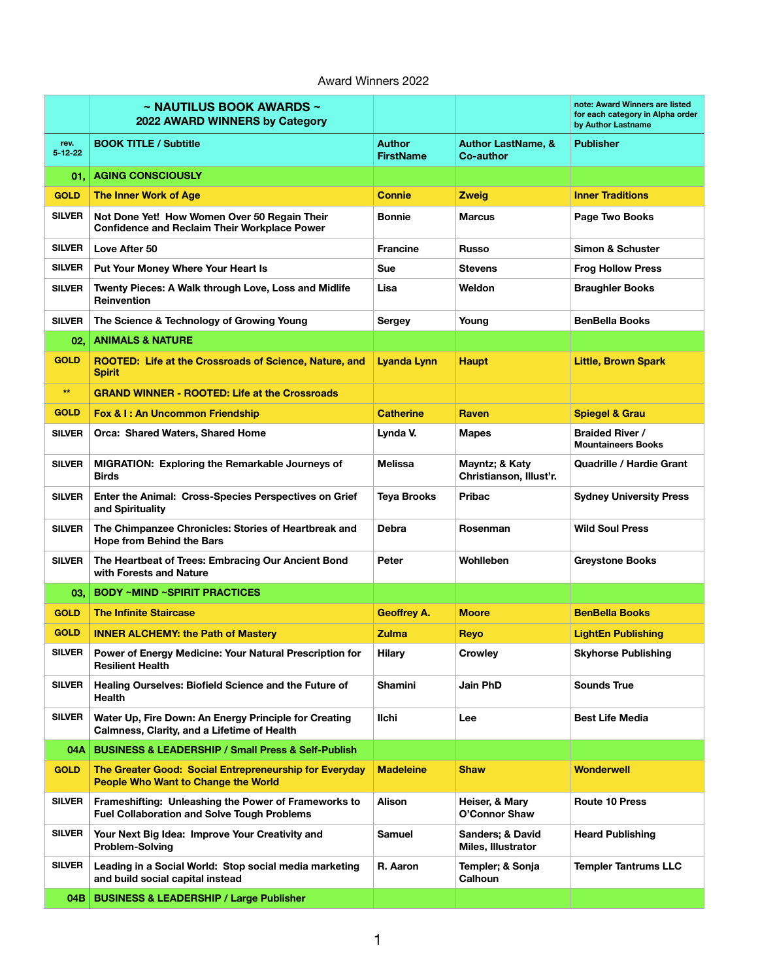## Award Winners 2022

|                       | $\sim$ NAUTILUS BOOK AWARDS $\sim$<br>2022 AWARD WINNERS by Category                                       |                                   |                                            | note: Award Winners are listed<br>for each category in Alpha order<br>by Author Lastname |
|-----------------------|------------------------------------------------------------------------------------------------------------|-----------------------------------|--------------------------------------------|------------------------------------------------------------------------------------------|
| rev.<br>$5 - 12 - 22$ | <b>BOOK TITLE / Subtitle</b>                                                                               | <b>Author</b><br><b>FirstName</b> | <b>Author LastName, &amp;</b><br>Co-author | <b>Publisher</b>                                                                         |
| 01.                   | <b>AGING CONSCIOUSLY</b>                                                                                   |                                   |                                            |                                                                                          |
| <b>GOLD</b>           | The Inner Work of Age                                                                                      | <b>Connie</b>                     | <b>Zweig</b>                               | <b>Inner Traditions</b>                                                                  |
| SILVER                | Not Done Yet! How Women Over 50 Regain Their<br><b>Confidence and Reclaim Their Workplace Power</b>        | <b>Bonnie</b>                     | <b>Marcus</b>                              | Page Two Books                                                                           |
| <b>SILVER</b>         | Love After 50                                                                                              | <b>Francine</b>                   | <b>Russo</b>                               | Simon & Schuster                                                                         |
| <b>SILVER</b>         | Put Your Money Where Your Heart Is                                                                         | <b>Sue</b>                        | <b>Stevens</b>                             | <b>Frog Hollow Press</b>                                                                 |
| <b>SILVER</b>         | Twenty Pieces: A Walk through Love, Loss and Midlife<br><b>Reinvention</b>                                 | Lisa                              | Weldon                                     | <b>Braughler Books</b>                                                                   |
| <b>SILVER</b>         | The Science & Technology of Growing Young                                                                  | <b>Sergey</b>                     | Young                                      | <b>BenBella Books</b>                                                                    |
| 02,                   | <b>ANIMALS &amp; NATURE</b>                                                                                |                                   |                                            |                                                                                          |
| <b>GOLD</b>           | ROOTED: Life at the Crossroads of Science, Nature, and<br><b>Spirit</b>                                    | Lyanda Lynn                       | <b>Haupt</b>                               | <b>Little, Brown Spark</b>                                                               |
| $^{\star\star}$       | <b>GRAND WINNER - ROOTED: Life at the Crossroads</b>                                                       |                                   |                                            |                                                                                          |
| <b>GOLD</b>           | Fox & I: An Uncommon Friendship                                                                            | <b>Catherine</b>                  | Raven                                      | <b>Spiegel &amp; Grau</b>                                                                |
| <b>SILVER</b>         | Orca: Shared Waters, Shared Home                                                                           | Lynda V.                          | <b>Mapes</b>                               | <b>Braided River /</b><br><b>Mountaineers Books</b>                                      |
| <b>SILVER</b>         | <b>MIGRATION: Exploring the Remarkable Journeys of</b><br><b>Birds</b>                                     | <b>Melissa</b>                    | Mayntz; & Katy<br>Christianson, Illust'r.  | Quadrille / Hardie Grant                                                                 |
| <b>SILVER</b>         | Enter the Animal: Cross-Species Perspectives on Grief<br>and Spirituality                                  | <b>Teya Brooks</b>                | <b>Pribac</b>                              | <b>Sydney University Press</b>                                                           |
| <b>SILVER</b>         | The Chimpanzee Chronicles: Stories of Heartbreak and<br><b>Hope from Behind the Bars</b>                   | <b>Debra</b>                      | Rosenman                                   | <b>Wild Soul Press</b>                                                                   |
| <b>SILVER</b>         | The Heartbeat of Trees: Embracing Our Ancient Bond<br>with Forests and Nature                              | Peter                             | Wohlleben                                  | <b>Greystone Books</b>                                                                   |
| 03.                   | <b>BODY ~MIND ~SPIRIT PRACTICES</b>                                                                        |                                   |                                            |                                                                                          |
| <b>GOLD</b>           | <b>The Infinite Staircase</b>                                                                              | <b>Geoffrey A.</b>                | <b>Moore</b>                               | <b>BenBella Books</b>                                                                    |
| <b>GOLD</b>           | <b>INNER ALCHEMY: the Path of Mastery</b>                                                                  | <b>Zulma</b>                      | Reyo                                       | <b>LightEn Publishing</b>                                                                |
| SILVER                | Power of Energy Medicine: Your Natural Prescription for<br><b>Resilient Health</b>                         | Hilary                            | <b>Crowley</b>                             | <b>Skyhorse Publishing</b>                                                               |
| <b>SILVER</b>         | Healing Ourselves: Biofield Science and the Future of<br>Health                                            | <b>Shamini</b>                    | Jain PhD                                   | <b>Sounds True</b>                                                                       |
| <b>SILVER</b>         | Water Up, Fire Down: An Energy Principle for Creating<br>Calmness, Clarity, and a Lifetime of Health       | Ilchi                             | Lee                                        | <b>Best Life Media</b>                                                                   |
| 04A                   | <b>BUSINESS &amp; LEADERSHIP / Small Press &amp; Self-Publish</b>                                          |                                   |                                            |                                                                                          |
| <b>GOLD</b>           | The Greater Good: Social Entrepreneurship for Everyday<br><b>People Who Want to Change the World</b>       | <b>Madeleine</b>                  | <b>Shaw</b>                                | <b>Wonderwell</b>                                                                        |
| SILVER                | Frameshifting: Unleashing the Power of Frameworks to<br><b>Fuel Collaboration and Solve Tough Problems</b> | Alison                            | Heiser, & Mary<br>O'Connor Shaw            | <b>Route 10 Press</b>                                                                    |
| <b>SILVER</b>         | Your Next Big Idea: Improve Your Creativity and<br><b>Problem-Solving</b>                                  | <b>Samuel</b>                     | Sanders; & David<br>Miles, Illustrator     | <b>Heard Publishing</b>                                                                  |
| <b>SILVER</b>         | Leading in a Social World: Stop social media marketing<br>and build social capital instead                 | R. Aaron                          | Templer; & Sonja<br>Calhoun                | <b>Templer Tantrums LLC</b>                                                              |
| 04B                   | <b>BUSINESS &amp; LEADERSHIP / Large Publisher</b>                                                         |                                   |                                            |                                                                                          |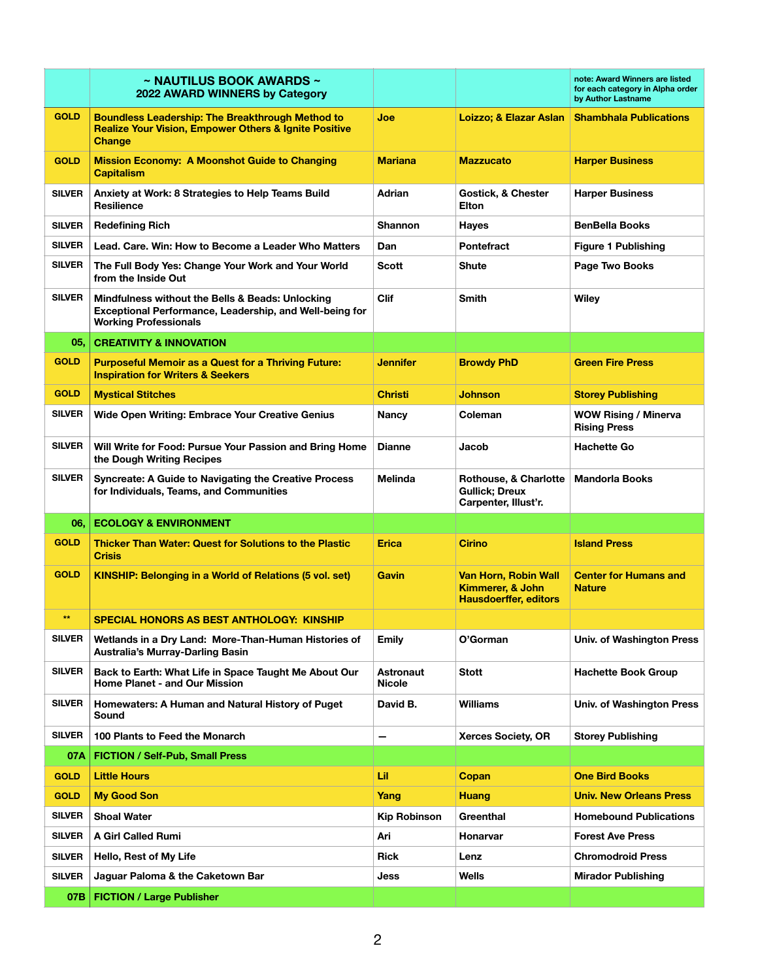|               | $\sim$ NAUTILUS BOOK AWARDS $\sim$<br>2022 AWARD WINNERS by Category                                                                        |                                   |                                                                          | note: Award Winners are listed<br>for each category in Alpha order<br>by Author Lastname |
|---------------|---------------------------------------------------------------------------------------------------------------------------------------------|-----------------------------------|--------------------------------------------------------------------------|------------------------------------------------------------------------------------------|
| <b>GOLD</b>   | <b>Boundless Leadership: The Breakthrough Method to</b><br><b>Realize Your Vision, Empower Others &amp; Ignite Positive</b><br>Change       | Joe                               | Loizzo; & Elazar Aslan                                                   | <b>Shambhala Publications</b>                                                            |
| <b>GOLD</b>   | <b>Mission Economy: A Moonshot Guide to Changing</b><br><b>Capitalism</b>                                                                   | <b>Mariana</b>                    | <b>Mazzucato</b>                                                         | <b>Harper Business</b>                                                                   |
| <b>SILVER</b> | Anxiety at Work: 8 Strategies to Help Teams Build<br><b>Resilience</b>                                                                      | Adrian                            | <b>Gostick, &amp; Chester</b><br><b>Elton</b>                            | <b>Harper Business</b>                                                                   |
| <b>SILVER</b> | <b>Redefining Rich</b>                                                                                                                      | <b>Shannon</b>                    | Hayes                                                                    | <b>BenBella Books</b>                                                                    |
| <b>SILVER</b> | Lead, Care, Win: How to Become a Leader Who Matters                                                                                         | Dan                               | <b>Pontefract</b>                                                        | <b>Figure 1 Publishing</b>                                                               |
| <b>SILVER</b> | The Full Body Yes: Change Your Work and Your World<br>from the Inside Out                                                                   | Scott                             | Shute                                                                    | Page Two Books                                                                           |
| <b>SILVER</b> | Mindfulness without the Bells & Beads: Unlocking<br>Exceptional Performance, Leadership, and Well-being for<br><b>Working Professionals</b> | <b>Clif</b>                       | Smith                                                                    | Wiley                                                                                    |
| 05,           | <b>CREATIVITY &amp; INNOVATION</b>                                                                                                          |                                   |                                                                          |                                                                                          |
| <b>GOLD</b>   | <b>Purposeful Memoir as a Quest for a Thriving Future:</b><br><b>Inspiration for Writers &amp; Seekers</b>                                  | Jennifer                          | <b>Browdy PhD</b>                                                        | <b>Green Fire Press</b>                                                                  |
| <b>GOLD</b>   | <b>Mystical Stitches</b>                                                                                                                    | <b>Christi</b>                    | <b>Johnson</b>                                                           | <b>Storey Publishing</b>                                                                 |
| <b>SILVER</b> | <b>Wide Open Writing: Embrace Your Creative Genius</b>                                                                                      | <b>Nancy</b>                      | Coleman                                                                  | <b>WOW Rising / Minerva</b><br><b>Rising Press</b>                                       |
| <b>SILVER</b> | Will Write for Food: Pursue Your Passion and Bring Home<br>the Dough Writing Recipes                                                        | <b>Dianne</b>                     | Jacob                                                                    | <b>Hachette Go</b>                                                                       |
| <b>SILVER</b> | <b>Syncreate: A Guide to Navigating the Creative Process</b><br>for Individuals, Teams, and Communities                                     | <b>Melinda</b>                    | Rothouse, & Charlotte<br><b>Gullick: Dreux</b><br>Carpenter, Illust'r.   | <b>Mandorla Books</b>                                                                    |
| 06,           | <b>ECOLOGY &amp; ENVIRONMENT</b>                                                                                                            |                                   |                                                                          |                                                                                          |
| <b>GOLD</b>   | <b>Thicker Than Water: Quest for Solutions to the Plastic</b><br><b>Crisis</b>                                                              | <b>Erica</b>                      | <b>Cirino</b>                                                            | <b>Island Press</b>                                                                      |
| <b>GOLD</b>   | <b>KINSHIP: Belonging in a World of Relations (5 vol. set)</b>                                                                              | <b>Gavin</b>                      | Van Horn, Robin Wall<br>Kimmerer, & John<br><b>Hausdoerffer, editors</b> | <b>Center for Humans and</b><br><b>Nature</b>                                            |
| $**$          | SPECIAL HONORS AS BEST ANTHOLOGY: KINSHIP                                                                                                   |                                   |                                                                          |                                                                                          |
| <b>SILVER</b> | Wetlands in a Dry Land: More-Than-Human Histories of<br><b>Australia's Murray-Darling Basin</b>                                             | Emily                             | O'Gorman                                                                 | Univ. of Washington Press                                                                |
| <b>SILVER</b> | Back to Earth: What Life in Space Taught Me About Our<br>Home Planet - and Our Mission                                                      | <b>Astronaut</b><br><b>Nicole</b> | Stott                                                                    | <b>Hachette Book Group</b>                                                               |
| <b>SILVER</b> | Homewaters: A Human and Natural History of Puget<br>Sound                                                                                   | David B.                          | <b>Williams</b>                                                          | <b>Univ. of Washington Press</b>                                                         |
| <b>SILVER</b> | 100 Plants to Feed the Monarch                                                                                                              |                                   | <b>Xerces Society, OR</b>                                                | <b>Storey Publishing</b>                                                                 |
| 07A           | <b>FICTION / Self-Pub, Small Press</b>                                                                                                      |                                   |                                                                          |                                                                                          |
| <b>GOLD</b>   | <b>Little Hours</b>                                                                                                                         | Lil                               | Copan                                                                    | <b>One Bird Books</b>                                                                    |
| <b>GOLD</b>   | <b>My Good Son</b>                                                                                                                          | Yang                              | <b>Huang</b>                                                             | <b>Univ. New Orleans Press</b>                                                           |
| <b>SILVER</b> | <b>Shoal Water</b>                                                                                                                          | <b>Kip Robinson</b>               | Greenthal                                                                | <b>Homebound Publications</b>                                                            |
| <b>SILVER</b> | A Girl Called Rumi                                                                                                                          | Ari                               | Honarvar                                                                 | <b>Forest Ave Press</b>                                                                  |
| <b>SILVER</b> | Hello, Rest of My Life                                                                                                                      | Rick                              | Lenz                                                                     | <b>Chromodroid Press</b>                                                                 |
| <b>SILVER</b> | Jaguar Paloma & the Caketown Bar                                                                                                            | Jess                              | Wells                                                                    | <b>Mirador Publishing</b>                                                                |
| 07B           | <b>FICTION / Large Publisher</b>                                                                                                            |                                   |                                                                          |                                                                                          |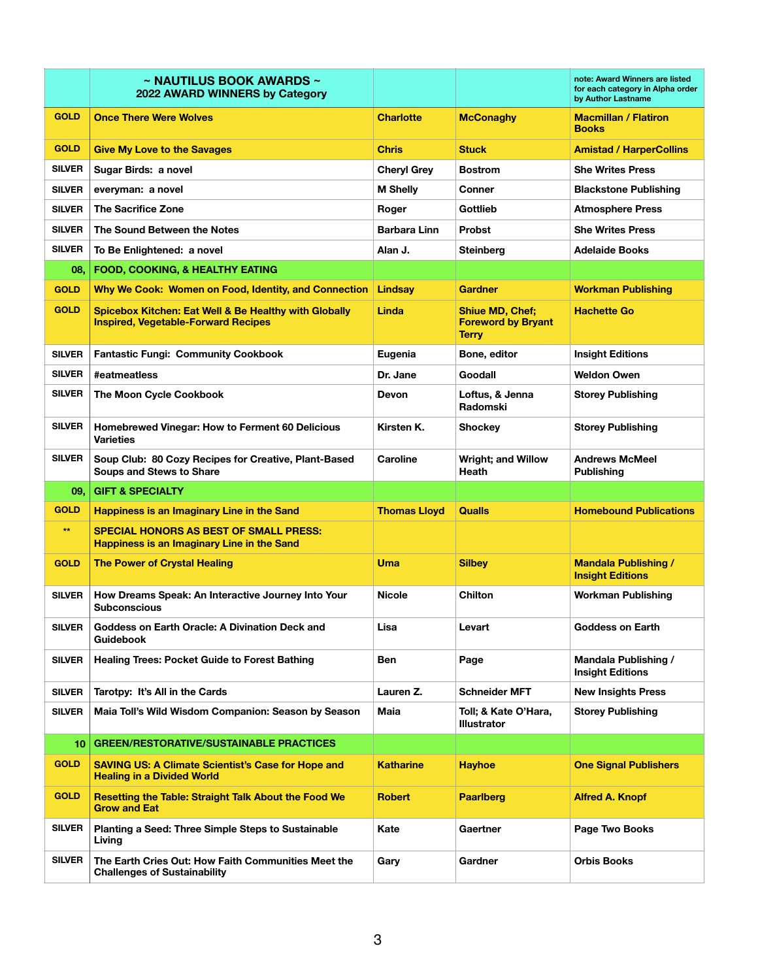|               | $\sim$ NAUTILUS BOOK AWARDS $\sim$<br>2022 AWARD WINNERS by Category                                |                     |                                                                     | note: Award Winners are listed<br>for each category in Alpha order<br>by Author Lastname |
|---------------|-----------------------------------------------------------------------------------------------------|---------------------|---------------------------------------------------------------------|------------------------------------------------------------------------------------------|
| <b>GOLD</b>   | <b>Once There Were Wolves</b>                                                                       | <b>Charlotte</b>    | <b>McConaghy</b>                                                    | <b>Macmillan / Flatiron</b><br><b>Books</b>                                              |
| <b>GOLD</b>   | <b>Give My Love to the Savages</b>                                                                  | <b>Chris</b>        | <b>Stuck</b>                                                        | Amistad / HarperCollins                                                                  |
| <b>SILVER</b> | Sugar Birds: a novel                                                                                | <b>Cheryl Grey</b>  | <b>Bostrom</b>                                                      | <b>She Writes Press</b>                                                                  |
| <b>SILVER</b> | everyman: a novel                                                                                   | <b>M Shelly</b>     | Conner                                                              | <b>Blackstone Publishing</b>                                                             |
| <b>SILVER</b> | <b>The Sacrifice Zone</b>                                                                           | Roger               | Gottlieb                                                            | <b>Atmosphere Press</b>                                                                  |
| <b>SILVER</b> | The Sound Between the Notes                                                                         | <b>Barbara Linn</b> | <b>Probst</b>                                                       | <b>She Writes Press</b>                                                                  |
| <b>SILVER</b> | To Be Enlightened: a novel                                                                          | Alan J.             | Steinberg                                                           | <b>Adelaide Books</b>                                                                    |
| 08.           | FOOD, COOKING, & HEALTHY EATING                                                                     |                     |                                                                     |                                                                                          |
| <b>GOLD</b>   | Why We Cook: Women on Food, Identity, and Connection                                                | Lindsay             | <b>Gardner</b>                                                      | <b>Workman Publishing</b>                                                                |
| <b>GOLD</b>   | Spicebox Kitchen: Eat Well & Be Healthy with Globally<br><b>Inspired, Vegetable-Forward Recipes</b> | Linda               | <b>Shiue MD, Chef;</b><br><b>Foreword by Bryant</b><br><b>Terry</b> | <b>Hachette Go</b>                                                                       |
| <b>SILVER</b> | <b>Fantastic Fungi: Community Cookbook</b>                                                          | Eugenia             | Bone, editor                                                        | <b>Insight Editions</b>                                                                  |
| <b>SILVER</b> | #eatmeatless                                                                                        | Dr. Jane            | Goodall                                                             | <b>Weldon Owen</b>                                                                       |
| <b>SILVER</b> | The Moon Cycle Cookbook                                                                             | <b>Devon</b>        | Loftus, & Jenna<br>Radomski                                         | Storey Publishing                                                                        |
| <b>SILVER</b> | Homebrewed Vinegar: How to Ferment 60 Delicious<br>Varieties                                        | Kirsten K.          | Shockey                                                             | <b>Storey Publishing</b>                                                                 |
| <b>SILVER</b> | Soup Club: 80 Cozy Recipes for Creative, Plant-Based<br><b>Soups and Stews to Share</b>             | Caroline            | <b>Wright; and Willow</b><br>Heath                                  | <b>Andrews McMeel</b><br>Publishing                                                      |
|               |                                                                                                     |                     |                                                                     |                                                                                          |
| 09.           | <b>GIFT &amp; SPECIALTY</b>                                                                         |                     |                                                                     |                                                                                          |
| <b>GOLD</b>   | Happiness is an Imaginary Line in the Sand                                                          | <b>Thomas Lloyd</b> | <b>Qualls</b>                                                       | <b>Homebound Publications</b>                                                            |
| $**$          | <b>SPECIAL HONORS AS BEST OF SMALL PRESS:</b><br>Happiness is an Imaginary Line in the Sand         |                     |                                                                     |                                                                                          |
| <b>GOLD</b>   | <b>The Power of Crystal Healing</b>                                                                 | Uma                 | <b>Silbey</b>                                                       | <b>Mandala Publishing /</b><br><b>Insight Editions</b>                                   |
| <b>SILVER</b> | How Dreams Speak: An Interactive Journey Into Your<br><b>Subconscious</b>                           | <b>Nicole</b>       | <b>Chilton</b>                                                      | <b>Workman Publishing</b>                                                                |
| <b>SILVER</b> | Goddess on Earth Oracle: A Divination Deck and<br><b>Guidebook</b>                                  | Lisa                | Levart                                                              | <b>Goddess on Earth</b>                                                                  |
| <b>SILVER</b> | <b>Healing Trees: Pocket Guide to Forest Bathing</b>                                                | Ben                 | Page                                                                | Mandala Publishing /<br><b>Insight Editions</b>                                          |
| <b>SILVER</b> | Tarotpy: It's All in the Cards                                                                      | Lauren Z.           | <b>Schneider MFT</b>                                                | New Insights Press                                                                       |
| <b>SILVER</b> | Maia Toll's Wild Wisdom Companion: Season by Season                                                 | Maia                | Toll; & Kate O'Hara,<br><b>Illustrator</b>                          | Storey Publishing                                                                        |
| 10.           | <b>GREEN/RESTORATIVE/SUSTAINABLE PRACTICES</b>                                                      |                     |                                                                     |                                                                                          |
| <b>GOLD</b>   | <b>SAVING US: A Climate Scientist's Case for Hope and</b><br><b>Healing in a Divided World</b>      | <b>Katharine</b>    | <b>Hayhoe</b>                                                       | <b>One Signal Publishers</b>                                                             |
| <b>GOLD</b>   | <b>Resetting the Table: Straight Talk About the Food We</b><br><b>Grow and Eat</b>                  | <b>Robert</b>       | <b>Paarlberg</b>                                                    | <b>Alfred A. Knopf</b>                                                                   |
| <b>SILVER</b> | Planting a Seed: Three Simple Steps to Sustainable<br>Living                                        | Kate                | Gaertner                                                            | Page Two Books                                                                           |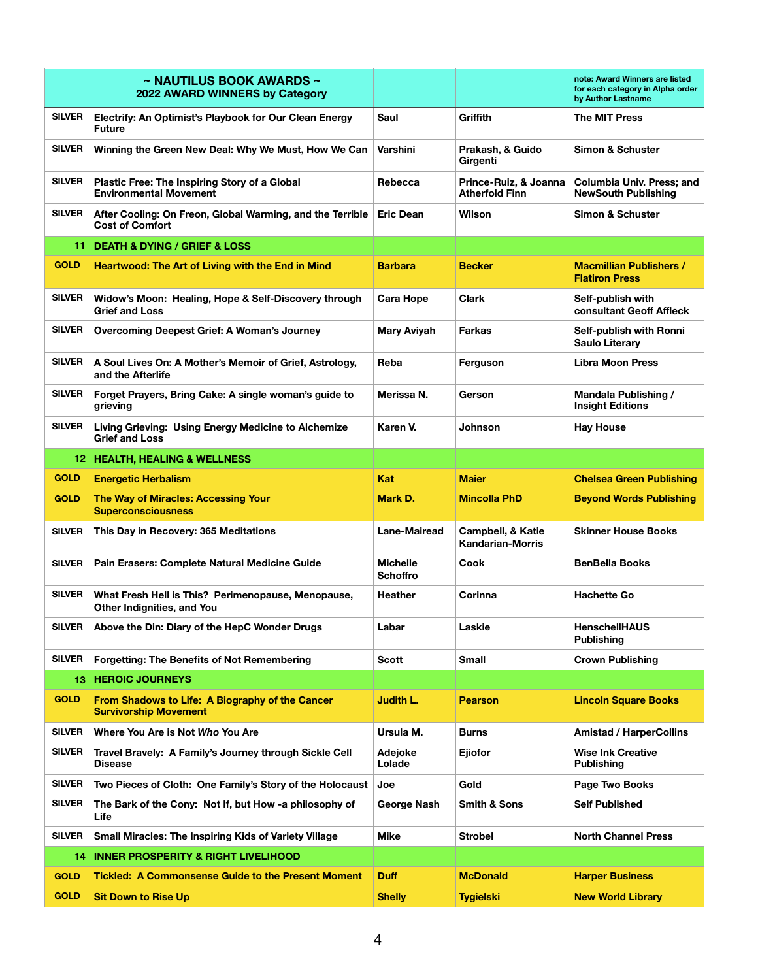|                 | $\sim$ NAUTILUS BOOK AWARDS $\sim$<br>2022 AWARD WINNERS by Category                |                                    |                                                | note: Award Winners are listed<br>for each category in Alpha order<br>by Author Lastname |
|-----------------|-------------------------------------------------------------------------------------|------------------------------------|------------------------------------------------|------------------------------------------------------------------------------------------|
| <b>SILVER</b>   | Electrify: An Optimist's Playbook for Our Clean Energy<br><b>Future</b>             | Saul                               | Griffith                                       | <b>The MIT Press</b>                                                                     |
| <b>SILVER</b>   | Winning the Green New Deal: Why We Must, How We Can                                 | Varshini                           | Prakash, & Guido<br>Girgenti                   | Simon & Schuster                                                                         |
| <b>SILVER</b>   | Plastic Free: The Inspiring Story of a Global<br><b>Environmental Movement</b>      | Rebecca                            | Prince-Ruiz, & Joanna<br><b>Atherfold Finn</b> | Columbia Univ. Press; and<br><b>NewSouth Publishing</b>                                  |
| <b>SILVER</b>   | After Cooling: On Freon, Global Warming, and the Terrible<br><b>Cost of Comfort</b> | <b>Eric Dean</b>                   | Wilson                                         | Simon & Schuster                                                                         |
| 11.             | <b>DEATH &amp; DYING / GRIEF &amp; LOSS</b>                                         |                                    |                                                |                                                                                          |
| <b>GOLD</b>     | <b>Heartwood: The Art of Living with the End in Mind</b>                            | <b>Barbara</b>                     | <b>Becker</b>                                  | <b>Macmillian Publishers /</b><br><b>Flatiron Press</b>                                  |
| <b>SILVER</b>   | Widow's Moon: Healing, Hope & Self-Discovery through<br><b>Grief and Loss</b>       | <b>Cara Hope</b>                   | <b>Clark</b>                                   | Self-publish with<br>consultant Geoff Affleck                                            |
| <b>SILVER</b>   | Overcoming Deepest Grief: A Woman's Journey                                         | <b>Mary Aviyah</b>                 | <b>Farkas</b>                                  | Self-publish with Ronni<br>Saulo Literary                                                |
| <b>SILVER</b>   | A Soul Lives On: A Mother's Memoir of Grief, Astrology,<br>and the Afterlife        | Reba                               | Ferguson                                       | Libra Moon Press                                                                         |
| <b>SILVER</b>   | Forget Prayers, Bring Cake: A single woman's guide to<br>grieving                   | Merissa N.                         | Gerson                                         | Mandala Publishing /<br><b>Insight Editions</b>                                          |
| <b>SILVER</b>   | Living Grieving: Using Energy Medicine to Alchemize<br><b>Grief and Loss</b>        | Karen V.                           | <b>Johnson</b>                                 | <b>Hay House</b>                                                                         |
| 12 <sub>1</sub> | <b>HEALTH, HEALING &amp; WELLNESS</b>                                               |                                    |                                                |                                                                                          |
| <b>GOLD</b>     | <b>Energetic Herbalism</b>                                                          | Kat                                | <b>Maier</b>                                   | <b>Chelsea Green Publishing</b>                                                          |
| <b>GOLD</b>     | <b>The Way of Miracles: Accessing Your</b><br><b>Superconsciousness</b>             | Mark D.                            | <b>Mincolla PhD</b>                            | <b>Beyond Words Publishing</b>                                                           |
| <b>SILVER</b>   | This Day in Recovery: 365 Meditations                                               | <b>Lane-Mairead</b>                | Campbell, & Katie<br><b>Kandarian-Morris</b>   | <b>Skinner House Books</b>                                                               |
| <b>SILVER</b>   | Pain Erasers: Complete Natural Medicine Guide                                       | <b>Michelle</b><br><b>Schoffro</b> | Cook                                           | <b>BenBella Books</b>                                                                    |
| <b>SILVER</b>   | What Fresh Hell is This? Perimenopause, Menopause,<br>Other Indignities, and You    | Heather                            | Corinna                                        | <b>Hachette Go</b>                                                                       |
| <b>SILVER</b>   | Above the Din: Diary of the HepC Wonder Drugs                                       | Labar                              | Laskie                                         | <b>HenschellHAUS</b><br><b>Publishing</b>                                                |
| <b>SILVER</b>   | <b>Forgetting: The Benefits of Not Remembering</b>                                  | <b>Scott</b>                       | <b>Small</b>                                   | <b>Crown Publishing</b>                                                                  |
| 13.             | <b>HEROIC JOURNEYS</b>                                                              |                                    |                                                |                                                                                          |
| <b>GOLD</b>     | From Shadows to Life: A Biography of the Cancer<br><b>Survivorship Movement</b>     | Judith L.                          | <b>Pearson</b>                                 | <b>Lincoln Square Books</b>                                                              |
| <b>SILVER</b>   | Where You Are is Not Who You Are                                                    | Ursula M.                          | <b>Burns</b>                                   | <b>Amistad / HarperCollins</b>                                                           |
| <b>SILVER</b>   | Travel Bravely: A Family's Journey through Sickle Cell<br><b>Disease</b>            | Adejoke<br>Lolade                  | Ejiofor                                        | <b>Wise Ink Creative</b><br><b>Publishing</b>                                            |
| <b>SILVER</b>   | Two Pieces of Cloth: One Family's Story of the Holocaust                            | Joe                                | Gold                                           | Page Two Books                                                                           |
| <b>SILVER</b>   | The Bark of the Cony: Not If, but How -a philosophy of<br>Life                      | George Nash                        | <b>Smith &amp; Sons</b>                        | <b>Self Published</b>                                                                    |
| <b>SILVER</b>   | Small Miracles: The Inspiring Kids of Variety Village                               | Mike                               | <b>Strobel</b>                                 | <b>North Channel Press</b>                                                               |
| 14              | <b>INNER PROSPERITY &amp; RIGHT LIVELIHOOD</b>                                      |                                    |                                                |                                                                                          |
| <b>GOLD</b>     | <b>Tickled: A Commonsense Guide to the Present Moment</b>                           | <b>Duff</b>                        | <b>McDonald</b>                                | <b>Harper Business</b>                                                                   |
| <b>GOLD</b>     | <b>Sit Down to Rise Up</b>                                                          | <b>Shelly</b>                      | <b>Tygielski</b>                               | <b>New World Library</b>                                                                 |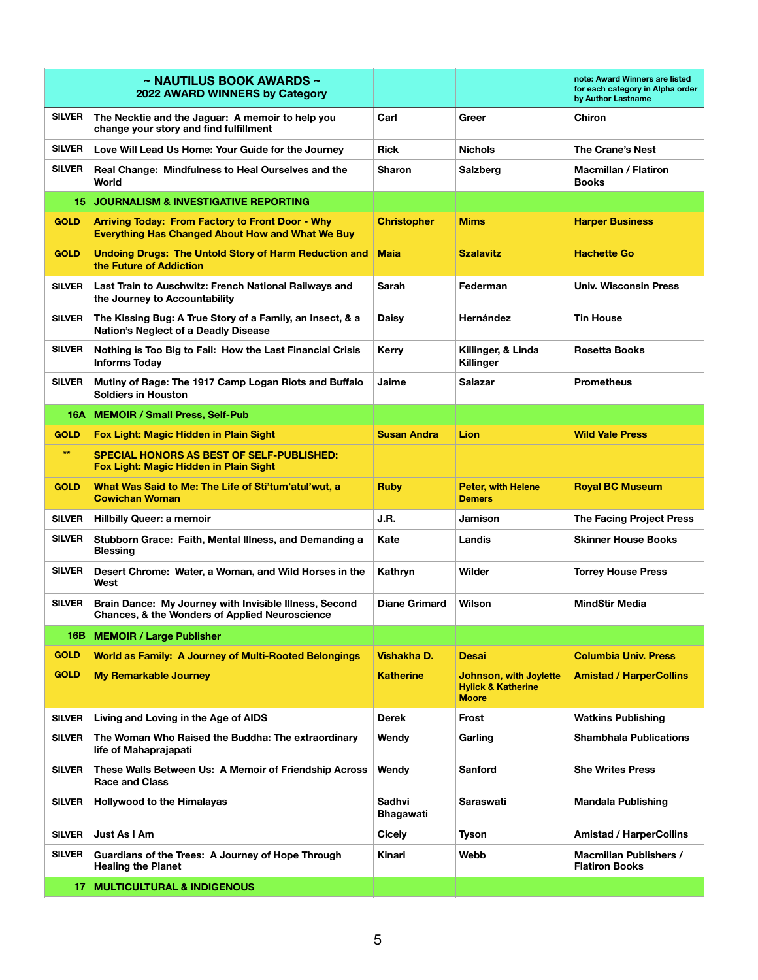|               | $\sim$ NAUTILUS BOOK AWARDS $\sim$<br>2022 AWARD WINNERS by Category                                                |                            |                                                                                | note: Award Winners are listed<br>for each category in Alpha order<br>by Author Lastname |
|---------------|---------------------------------------------------------------------------------------------------------------------|----------------------------|--------------------------------------------------------------------------------|------------------------------------------------------------------------------------------|
| <b>SILVER</b> | The Necktie and the Jaguar: A memoir to help you<br>change your story and find fulfillment                          | Carl                       | Greer                                                                          | <b>Chiron</b>                                                                            |
| <b>SILVER</b> | Love Will Lead Us Home: Your Guide for the Journey                                                                  | Rick                       | <b>Nichols</b>                                                                 | The Crane's Nest                                                                         |
| <b>SILVER</b> | Real Change: Mindfulness to Heal Ourselves and the<br>World                                                         | <b>Sharon</b>              | Salzberg                                                                       | <b>Macmillan / Flatiron</b><br><b>Books</b>                                              |
| 15            | <b>JOURNALISM &amp; INVESTIGATIVE REPORTING</b>                                                                     |                            |                                                                                |                                                                                          |
| <b>GOLD</b>   | <b>Arriving Today: From Factory to Front Door - Why</b><br><b>Everything Has Changed About How and What We Buy</b>  | <b>Christopher</b>         | <b>Mims</b>                                                                    | <b>Harper Business</b>                                                                   |
| <b>GOLD</b>   | <b>Undoing Drugs: The Untold Story of Harm Reduction and</b><br>the Future of Addiction                             | <b>Maia</b>                | <b>Szalavitz</b>                                                               | <b>Hachette Go</b>                                                                       |
| <b>SILVER</b> | Last Train to Auschwitz: French National Railways and<br>the Journey to Accountability                              | Sarah                      | Federman                                                                       | <b>Univ. Wisconsin Press</b>                                                             |
| <b>SILVER</b> | The Kissing Bug: A True Story of a Family, an Insect, & a<br><b>Nation's Neglect of a Deadly Disease</b>            | <b>Daisy</b>               | Hernández                                                                      | <b>Tin House</b>                                                                         |
| <b>SILVER</b> | Nothing is Too Big to Fail: How the Last Financial Crisis<br><b>Informs Today</b>                                   | Kerry                      | Killinger, & Linda<br>Killinger                                                | <b>Rosetta Books</b>                                                                     |
| <b>SILVER</b> | Mutiny of Rage: The 1917 Camp Logan Riots and Buffalo<br><b>Soldiers in Houston</b>                                 | Jaime                      | Salazar                                                                        | <b>Prometheus</b>                                                                        |
| 16A           | <b>MEMOIR / Small Press, Self-Pub</b>                                                                               |                            |                                                                                |                                                                                          |
| <b>GOLD</b>   | Fox Light: Magic Hidden in Plain Sight                                                                              | <b>Susan Andra</b>         | <b>Lion</b>                                                                    | <b>Wild Vale Press</b>                                                                   |
| $**$          | <b>SPECIAL HONORS AS BEST OF SELF-PUBLISHED:</b><br>Fox Light: Magic Hidden in Plain Sight                          |                            |                                                                                |                                                                                          |
| <b>GOLD</b>   | What Was Said to Me: The Life of Sti'tum'atul'wut, a<br><b>Cowichan Woman</b>                                       | <b>Ruby</b>                | <b>Peter, with Helene</b><br><b>Demers</b>                                     | <b>Royal BC Museum</b>                                                                   |
| <b>SILVER</b> | <b>Hillbilly Queer: a memoir</b>                                                                                    | J.R.                       | Jamison                                                                        | <b>The Facing Project Press</b>                                                          |
| <b>SILVER</b> | Stubborn Grace: Faith, Mental Illness, and Demanding a<br><b>Blessing</b>                                           | Kate                       | Landis                                                                         | <b>Skinner House Books</b>                                                               |
| <b>SILVER</b> | Desert Chrome: Water, a Woman, and Wild Horses in the<br>West                                                       | Kathryn                    | Wilder                                                                         | <b>Torrey House Press</b>                                                                |
| <b>SILVER</b> | Brain Dance: My Journey with Invisible Illness, Second<br><b>Chances, &amp; the Wonders of Applied Neuroscience</b> | <b>Diane Grimard</b>       | Wilson                                                                         | <b>MindStir Media</b>                                                                    |
| 16B           | <b>MEMOIR / Large Publisher</b>                                                                                     |                            |                                                                                |                                                                                          |
| <b>GOLD</b>   | <b>World as Family: A Journey of Multi-Rooted Belongings</b>                                                        | Vishakha D.                | Desai                                                                          | <b>Columbia Univ. Press</b>                                                              |
| <b>GOLD</b>   | <b>My Remarkable Journey</b>                                                                                        | <b>Katherine</b>           | <b>Johnson, with Joylette</b><br><b>Hylick &amp; Katherine</b><br><b>Moore</b> | <b>Amistad / HarperCollins</b>                                                           |
| <b>SILVER</b> | Living and Loving in the Age of AIDS                                                                                | <b>Derek</b>               | Frost                                                                          | <b>Watkins Publishing</b>                                                                |
| <b>SILVER</b> | The Woman Who Raised the Buddha: The extraordinary<br>life of Mahaprajapati                                         | Wendy                      | Garling                                                                        | <b>Shambhala Publications</b>                                                            |
| <b>SILVER</b> | These Walls Between Us: A Memoir of Friendship Across<br><b>Race and Class</b>                                      | Wendy                      | <b>Sanford</b>                                                                 | <b>She Writes Press</b>                                                                  |
| <b>SILVER</b> | <b>Hollywood to the Himalayas</b>                                                                                   | <b>Sadhvi</b><br>Bhagawati | Saraswati                                                                      | <b>Mandala Publishing</b>                                                                |
| <b>SILVER</b> | Just As I Am                                                                                                        | Cicely                     | Tyson                                                                          | <b>Amistad / HarperCollins</b>                                                           |
| <b>SILVER</b> | Guardians of the Trees: A Journey of Hope Through<br><b>Healing the Planet</b>                                      | Kinari                     | Webb                                                                           | <b>Macmillan Publishers /</b><br><b>Flatiron Books</b>                                   |
| 17.           | <b>MULTICULTURAL &amp; INDIGENOUS</b>                                                                               |                            |                                                                                |                                                                                          |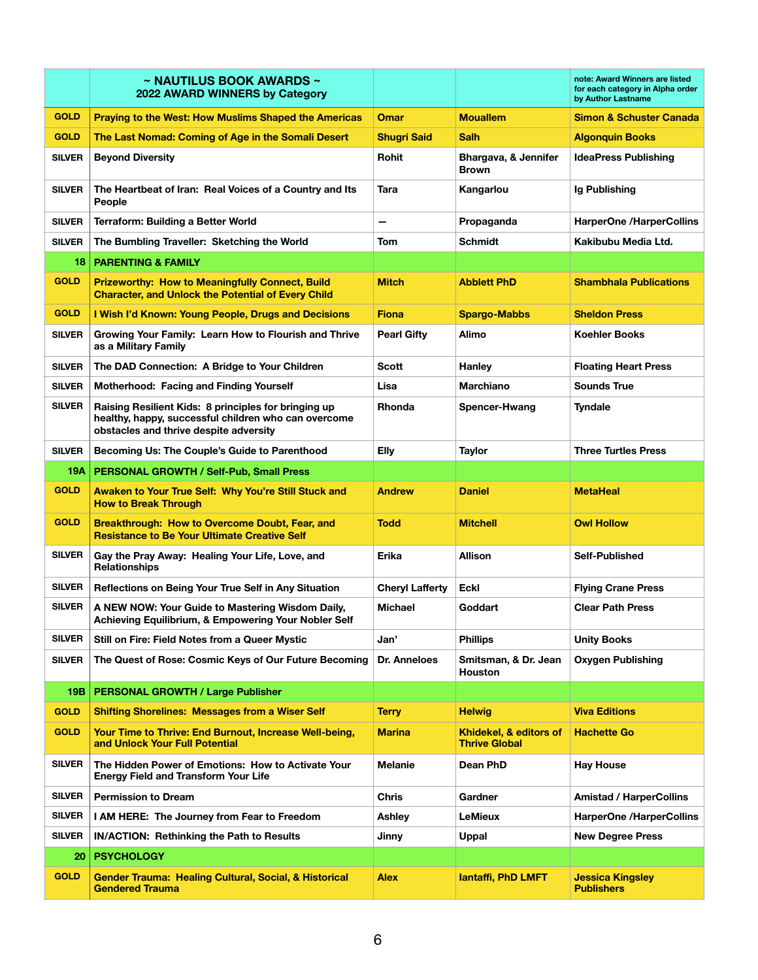|               | $\sim$ NAUTILUS BOOK AWARDS $\sim$<br>2022 AWARD WINNERS by Category                                                                                   |                        |                                                | note: Award Winners are listed<br>for each category in Alpha order<br>by Author Lastname |
|---------------|--------------------------------------------------------------------------------------------------------------------------------------------------------|------------------------|------------------------------------------------|------------------------------------------------------------------------------------------|
| <b>GOLD</b>   | <b>Praying to the West: How Muslims Shaped the Americas</b>                                                                                            | Omar                   | <b>Mouallem</b>                                | <b>Simon &amp; Schuster Canada</b>                                                       |
| <b>GOLD</b>   | The Last Nomad: Coming of Age in the Somali Desert                                                                                                     | <b>Shugri Said</b>     | <b>Salh</b>                                    | <b>Algonquin Books</b>                                                                   |
| <b>SILVER</b> | <b>Beyond Diversity</b>                                                                                                                                | <b>Rohit</b>           | Bhargava, & Jennifer<br><b>Brown</b>           | <b>IdeaPress Publishing</b>                                                              |
| <b>SILVER</b> | The Heartbeat of Iran: Real Voices of a Country and Its<br>People                                                                                      | Tara                   | Kangarlou                                      | Ig Publishing                                                                            |
| <b>SILVER</b> | <b>Terraform: Building a Better World</b>                                                                                                              |                        | Propaganda                                     | <b>HarperOne /HarperCollins</b>                                                          |
| <b>SILVER</b> | The Bumbling Traveller: Sketching the World                                                                                                            | Tom                    | <b>Schmidt</b>                                 | Kakibubu Media Ltd.                                                                      |
| 18            | <b>PARENTING &amp; FAMILY</b>                                                                                                                          |                        |                                                |                                                                                          |
| <b>GOLD</b>   | <b>Prizeworthy: How to Meaningfully Connect, Build</b><br><b>Character, and Unlock the Potential of Every Child</b>                                    | <b>Mitch</b>           | <b>Abblett PhD</b>                             | <b>Shambhala Publications</b>                                                            |
| <b>GOLD</b>   | I Wish I'd Known: Young People, Drugs and Decisions                                                                                                    | <b>Fiona</b>           | <b>Spargo-Mabbs</b>                            | <b>Sheldon Press</b>                                                                     |
| <b>SILVER</b> | Growing Your Family: Learn How to Flourish and Thrive<br>as a Military Family                                                                          | <b>Pearl Gifty</b>     | Alimo                                          | <b>Koehler Books</b>                                                                     |
| <b>SILVER</b> | The DAD Connection: A Bridge to Your Children                                                                                                          | <b>Scott</b>           | <b>Hanley</b>                                  | <b>Floating Heart Press</b>                                                              |
| <b>SILVER</b> | Motherhood: Facing and Finding Yourself                                                                                                                | Lisa                   | <b>Marchiano</b>                               | Sounds True                                                                              |
| <b>SILVER</b> | Raising Resilient Kids: 8 principles for bringing up<br>healthy, happy, successful children who can overcome<br>obstacles and thrive despite adversity | Rhonda                 | Spencer-Hwang                                  | Tyndale                                                                                  |
| <b>SILVER</b> | Becoming Us: The Couple's Guide to Parenthood                                                                                                          | Elly                   | Taylor                                         | <b>Three Turtles Press</b>                                                               |
| 19A           | PERSONAL GROWTH / Self-Pub, Small Press                                                                                                                |                        |                                                |                                                                                          |
| <b>GOLD</b>   | Awaken to Your True Self: Why You're Still Stuck and<br><b>How to Break Through</b>                                                                    | <b>Andrew</b>          | <b>Daniel</b>                                  | <b>MetaHeal</b>                                                                          |
| <b>GOLD</b>   | Breakthrough: How to Overcome Doubt, Fear, and<br><b>Resistance to Be Your Ultimate Creative Self</b>                                                  | <b>Todd</b>            | <b>Mitchell</b>                                | <b>Owl Hollow</b>                                                                        |
| <b>SILVER</b> | Gay the Pray Away: Healing Your Life, Love, and<br><b>Relationships</b>                                                                                | Erika                  | Allison                                        | Self-Published                                                                           |
| <b>SILVER</b> | Reflections on Being Your True Self in Any Situation                                                                                                   | <b>Cheryl Lafferty</b> | Eckl                                           | <b>Flying Crane Press</b>                                                                |
| <b>SILVER</b> | A NEW NOW: Your Guide to Mastering Wisdom Daily,<br>Achieving Equilibrium, & Empowering Your Nobler Self                                               | <b>Michael</b>         | Goddart                                        | <b>Clear Path Press</b>                                                                  |
| <b>SILVER</b> | Still on Fire: Field Notes from a Queer Mystic                                                                                                         | Jan'                   | <b>Phillips</b>                                | <b>Unity Books</b>                                                                       |
| <b>SILVER</b> | The Quest of Rose: Cosmic Keys of Our Future Becoming                                                                                                  | Dr. Anneloes           | Smitsman, & Dr. Jean<br>Houston                | <b>Oxygen Publishing</b>                                                                 |
| 19B           | <b>PERSONAL GROWTH / Large Publisher</b>                                                                                                               |                        |                                                |                                                                                          |
| <b>GOLD</b>   | <b>Shifting Shorelines: Messages from a Wiser Self</b>                                                                                                 | <b>Terry</b>           | <b>Helwig</b>                                  | <b>Viva Editions</b>                                                                     |
| <b>GOLD</b>   | Your Time to Thrive: End Burnout, Increase Well-being,<br>and Unlock Your Full Potential                                                               | <b>Marina</b>          | Khidekel, & editors of<br><b>Thrive Global</b> | <b>Hachette Go</b>                                                                       |
| <b>SILVER</b> | The Hidden Power of Emotions: How to Activate Your<br><b>Energy Field and Transform Your Life</b>                                                      | <b>Melanie</b>         | Dean PhD                                       | <b>Hay House</b>                                                                         |
| <b>SILVER</b> | <b>Permission to Dream</b>                                                                                                                             | Chris                  | Gardner                                        | <b>Amistad / HarperCollins</b>                                                           |
| <b>SILVER</b> | I AM HERE: The Journey from Fear to Freedom                                                                                                            | Ashley                 | LeMieux                                        | <b>HarperOne /HarperCollins</b>                                                          |
| <b>SILVER</b> | <b>IN/ACTION: Rethinking the Path to Results</b>                                                                                                       | Jinny                  | Uppal                                          | <b>New Degree Press</b>                                                                  |
| 20            | <b>PSYCHOLOGY</b>                                                                                                                                      |                        |                                                |                                                                                          |
| <b>GOLD</b>   | Gender Trauma: Healing Cultural, Social, & Historical<br><b>Gendered Trauma</b>                                                                        | <b>Alex</b>            | lantaffi, PhD LMFT                             | <b>Jessica Kingsley</b><br><b>Publishers</b>                                             |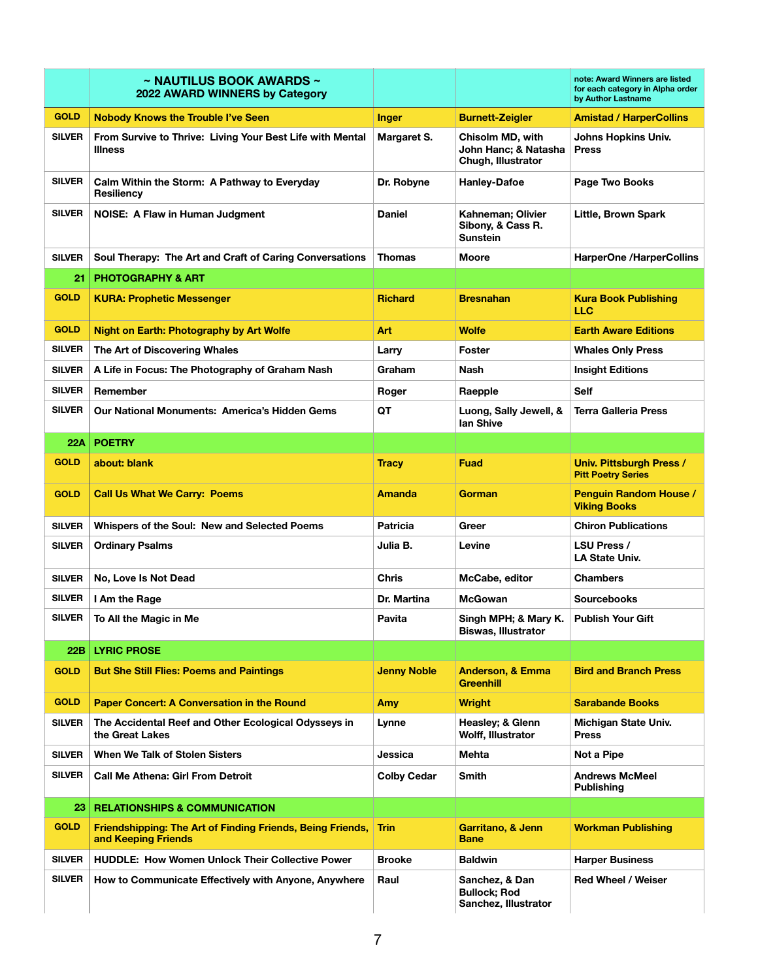|               | $\sim$ NAUTILUS BOOK AWARDS $\sim$<br>2022 AWARD WINNERS by Category              |                    |                                                                | note: Award Winners are listed<br>for each category in Alpha order<br>by Author Lastname |
|---------------|-----------------------------------------------------------------------------------|--------------------|----------------------------------------------------------------|------------------------------------------------------------------------------------------|
| <b>GOLD</b>   | <b>Nobody Knows the Trouble I've Seen</b>                                         | <b>Inger</b>       | <b>Burnett-Zeigler</b>                                         | <b>Amistad / HarperCollins</b>                                                           |
| <b>SILVER</b> | From Survive to Thrive: Living Your Best Life with Mental<br><b>Illness</b>       | Margaret S.        | Chisolm MD, with<br>John Hanc; & Natasha<br>Chugh, Illustrator | Johns Hopkins Univ.<br><b>Press</b>                                                      |
| <b>SILVER</b> | Calm Within the Storm: A Pathway to Everyday<br>Resiliency                        | Dr. Robyne         | <b>Hanley-Dafoe</b>                                            | Page Two Books                                                                           |
| <b>SILVER</b> | NOISE: A Flaw in Human Judgment                                                   | <b>Daniel</b>      | Kahneman; Olivier<br>Sibony, & Cass R.<br><b>Sunstein</b>      | Little, Brown Spark                                                                      |
| <b>SILVER</b> | Soul Therapy: The Art and Craft of Caring Conversations                           | <b>Thomas</b>      | <b>Moore</b>                                                   | <b>HarperOne /HarperCollins</b>                                                          |
| 21            | <b>PHOTOGRAPHY &amp; ART</b>                                                      |                    |                                                                |                                                                                          |
| <b>GOLD</b>   | <b>KURA: Prophetic Messenger</b>                                                  | <b>Richard</b>     | <b>Bresnahan</b>                                               | <b>Kura Book Publishing</b><br>LLC                                                       |
| <b>GOLD</b>   | <b>Night on Earth: Photography by Art Wolfe</b>                                   | Art                | Wolfe                                                          | <b>Earth Aware Editions</b>                                                              |
| <b>SILVER</b> | The Art of Discovering Whales                                                     | Larry              | Foster                                                         | <b>Whales Only Press</b>                                                                 |
| <b>SILVER</b> | A Life in Focus: The Photography of Graham Nash                                   | Graham             | Nash                                                           | <b>Insight Editions</b>                                                                  |
| <b>SILVER</b> | Remember                                                                          | Roger              | Raepple                                                        | <b>Self</b>                                                                              |
| <b>SILVER</b> | Our National Monuments: America's Hidden Gems                                     | QT                 | Luong, Sally Jewell, &<br>lan Shive                            | <b>Terra Galleria Press</b>                                                              |
| 22A           | <b>POETRY</b>                                                                     |                    |                                                                |                                                                                          |
| <b>GOLD</b>   | about: blank                                                                      | <b>Tracy</b>       | <b>Fuad</b>                                                    | Univ. Pittsburgh Press /<br><b>Pitt Poetry Series</b>                                    |
| <b>GOLD</b>   | <b>Call Us What We Carry: Poems</b>                                               | <b>Amanda</b>      | Gorman                                                         | <b>Penguin Random House /</b><br><b>Viking Books</b>                                     |
| <b>SILVER</b> | Whispers of the Soul: New and Selected Poems                                      | <b>Patricia</b>    | Greer                                                          | <b>Chiron Publications</b>                                                               |
| <b>SILVER</b> | <b>Ordinary Psalms</b>                                                            | Julia B.           | Levine                                                         | <b>LSU Press /</b><br><b>LA State Univ.</b>                                              |
| <b>SILVER</b> | No, Love Is Not Dead                                                              | <b>Chris</b>       | McCabe, editor                                                 | <b>Chambers</b>                                                                          |
| <b>SILVER</b> | I Am the Rage                                                                     | Dr. Martina        | <b>McGowan</b>                                                 | <b>Sourcebooks</b>                                                                       |
| SILVER        | To All the Magic in Me                                                            | Pavita             | Singh MPH; & Mary K.<br><b>Biswas, Illustrator</b>             | <b>Publish Your Gift</b>                                                                 |
| 22B           | <b>LYRIC PROSE</b>                                                                |                    |                                                                |                                                                                          |
| <b>GOLD</b>   | <b>But She Still Flies: Poems and Paintings</b>                                   | <b>Jenny Noble</b> | <b>Anderson, &amp; Emma</b><br><b>Greenhill</b>                | <b>Bird and Branch Press</b>                                                             |
| <b>GOLD</b>   | <b>Paper Concert: A Conversation in the Round</b>                                 | Amy                | <b>Wright</b>                                                  | <b>Sarabande Books</b>                                                                   |
| <b>SILVER</b> | The Accidental Reef and Other Ecological Odysseys in<br>the Great Lakes           | Lynne              | Heasley; & Glenn<br>Wolff, Illustrator                         | Michigan State Univ.<br><b>Press</b>                                                     |
| <b>SILVER</b> | When We Talk of Stolen Sisters                                                    | Jessica            | Mehta                                                          | Not a Pipe                                                                               |
| <b>SILVER</b> | <b>Call Me Athena: Girl From Detroit</b>                                          | <b>Colby Cedar</b> | <b>Smith</b>                                                   | <b>Andrews McMeel</b><br><b>Publishing</b>                                               |
| 23            | <b>RELATIONSHIPS &amp; COMMUNICATION</b>                                          |                    |                                                                |                                                                                          |
| <b>GOLD</b>   | Friendshipping: The Art of Finding Friends, Being Friends,<br>and Keeping Friends | Trin               | Garritano, & Jenn<br>Bane                                      | <b>Workman Publishing</b>                                                                |
| <b>SILVER</b> | <b>HUDDLE: How Women Unlock Their Collective Power</b>                            | <b>Brooke</b>      | <b>Baldwin</b>                                                 | <b>Harper Business</b>                                                                   |
| <b>SILVER</b> | How to Communicate Effectively with Anyone, Anywhere                              | Raul               | Sanchez, & Dan<br><b>Bullock; Rod</b><br>Sanchez, Illustrator  | <b>Red Wheel / Weiser</b>                                                                |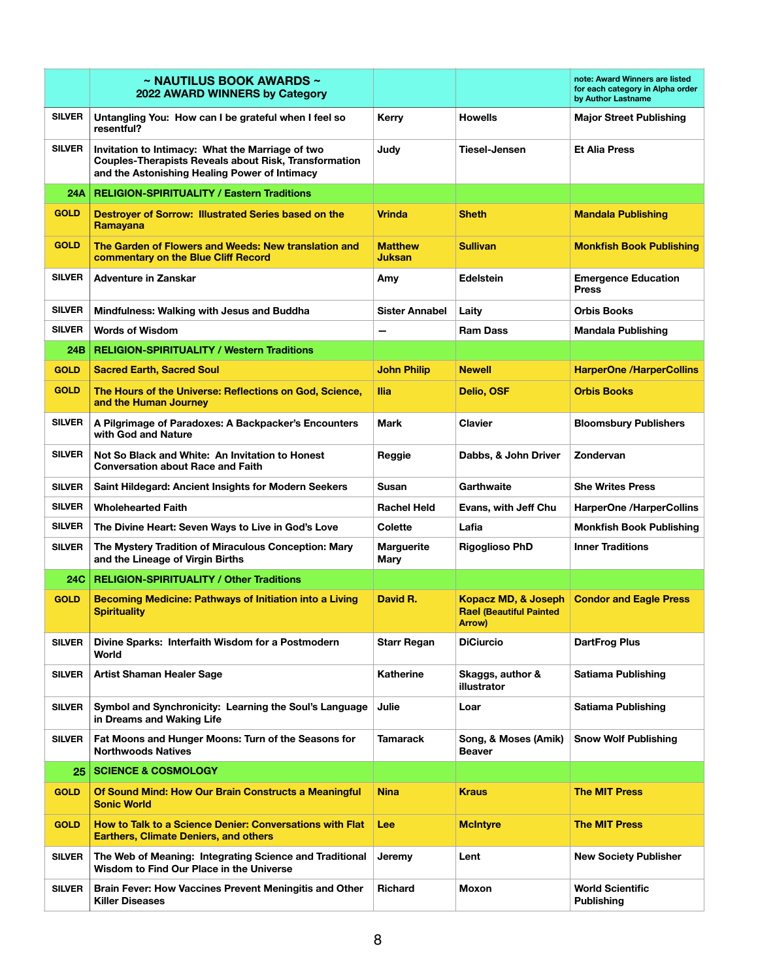|               | $\sim$ NAUTILUS BOOK AWARDS $\sim$<br>2022 AWARD WINNERS by Category                                                                                              |                                 |                                                                 | note: Award Winners are listed<br>for each category in Alpha order<br>by Author Lastname |
|---------------|-------------------------------------------------------------------------------------------------------------------------------------------------------------------|---------------------------------|-----------------------------------------------------------------|------------------------------------------------------------------------------------------|
| <b>SILVER</b> | Untangling You: How can I be grateful when I feel so<br>resentful?                                                                                                | Kerry                           | <b>Howells</b>                                                  | <b>Major Street Publishing</b>                                                           |
| <b>SILVER</b> | Invitation to Intimacy: What the Marriage of two<br><b>Couples-Therapists Reveals about Risk, Transformation</b><br>and the Astonishing Healing Power of Intimacy | Judy                            | Tiesel-Jensen                                                   | <b>Et Alia Press</b>                                                                     |
| 24A           | <b>RELIGION-SPIRITUALITY / Eastern Traditions</b>                                                                                                                 |                                 |                                                                 |                                                                                          |
| <b>GOLD</b>   | Destroyer of Sorrow: Illustrated Series based on the<br><b>Ramavana</b>                                                                                           | <b>Vrinda</b>                   | <b>Sheth</b>                                                    | <b>Mandala Publishing</b>                                                                |
| <b>GOLD</b>   | The Garden of Flowers and Weeds: New translation and<br>commentary on the Blue Cliff Record                                                                       | <b>Matthew</b><br><b>Juksan</b> | <b>Sullivan</b>                                                 | <b>Monkfish Book Publishing</b>                                                          |
| <b>SILVER</b> | Adventure in Zanskar                                                                                                                                              | Amy                             | <b>Edelstein</b>                                                | <b>Emergence Education</b><br><b>Press</b>                                               |
| <b>SILVER</b> | Mindfulness: Walking with Jesus and Buddha                                                                                                                        | <b>Sister Annabel</b>           | Laity                                                           | <b>Orbis Books</b>                                                                       |
| <b>SILVER</b> | <b>Words of Wisdom</b>                                                                                                                                            | -                               | <b>Ram Dass</b>                                                 | <b>Mandala Publishing</b>                                                                |
| 24B           | <b>RELIGION-SPIRITUALITY / Western Traditions</b>                                                                                                                 |                                 |                                                                 |                                                                                          |
| <b>GOLD</b>   | <b>Sacred Earth, Sacred Soul</b>                                                                                                                                  | <b>John Philip</b>              | <b>Newell</b>                                                   | <b>HarperOne /HarperCollins</b>                                                          |
| <b>GOLD</b>   | The Hours of the Universe: Reflections on God, Science,<br>and the Human Journey                                                                                  | <b>Ilia</b>                     | Delio, OSF                                                      | <b>Orbis Books</b>                                                                       |
| <b>SILVER</b> | A Pilgrimage of Paradoxes: A Backpacker's Encounters<br>with God and Nature                                                                                       | <b>Mark</b>                     | Clavier                                                         | <b>Bloomsbury Publishers</b>                                                             |
| <b>SILVER</b> | Not So Black and White: An Invitation to Honest<br><b>Conversation about Race and Faith</b>                                                                       | Reggie                          | Dabbs, & John Driver                                            | Zondervan                                                                                |
| <b>SILVER</b> | Saint Hildegard: Ancient Insights for Modern Seekers                                                                                                              | Susan                           | Garthwaite                                                      | <b>She Writes Press</b>                                                                  |
| <b>SILVER</b> | <b>Wholehearted Faith</b>                                                                                                                                         | <b>Rachel Held</b>              | Evans, with Jeff Chu                                            | <b>HarperOne /HarperCollins</b>                                                          |
| <b>SILVER</b> | The Divine Heart: Seven Ways to Live in God's Love                                                                                                                | Colette                         | Lafia                                                           | <b>Monkfish Book Publishing</b>                                                          |
| <b>SILVER</b> | The Mystery Tradition of Miraculous Conception: Mary<br>and the Lineage of Virgin Births                                                                          | <b>Marguerite</b><br>Mary       | <b>Rigoglioso PhD</b>                                           | <b>Inner Traditions</b>                                                                  |
| 24C           | <b>RELIGION-SPIRITUALITY / Other Traditions</b>                                                                                                                   |                                 |                                                                 |                                                                                          |
| <b>GOLD</b>   | <b>Becoming Medicine: Pathways of Initiation into a Living</b><br><b>Spirituality</b>                                                                             | David R.                        | Kopacz MD, & Joseph<br><b>Rael (Beautiful Painted</b><br>Arrow) | <b>Condor and Eagle Press</b>                                                            |
| <b>SILVER</b> | Divine Sparks: Interfaith Wisdom for a Postmodern<br>World                                                                                                        | <b>Starr Regan</b>              | <b>DiCiurcio</b>                                                | <b>DartFrog Plus</b>                                                                     |
| <b>SILVER</b> | <b>Artist Shaman Healer Sage</b>                                                                                                                                  | <b>Katherine</b>                | Skaggs, author &<br>illustrator                                 | Satiama Publishing                                                                       |
| <b>SILVER</b> | Symbol and Synchronicity: Learning the Soul's Language<br>in Dreams and Waking Life                                                                               | Julie                           | Loar                                                            | <b>Satiama Publishing</b>                                                                |
| <b>SILVER</b> | Fat Moons and Hunger Moons: Turn of the Seasons for<br><b>Northwoods Natives</b>                                                                                  | <b>Tamarack</b>                 | Song, & Moses (Amik)<br><b>Beaver</b>                           | <b>Snow Wolf Publishing</b>                                                              |
| 25            | <b>SCIENCE &amp; COSMOLOGY</b>                                                                                                                                    |                                 |                                                                 |                                                                                          |
| <b>GOLD</b>   | Of Sound Mind: How Our Brain Constructs a Meaningful<br><b>Sonic World</b>                                                                                        | <b>Nina</b>                     | <b>Kraus</b>                                                    | <b>The MIT Press</b>                                                                     |
| <b>GOLD</b>   | How to Talk to a Science Denier: Conversations with Flat<br><b>Earthers, Climate Deniers, and others</b>                                                          | Lee                             | <b>McIntyre</b>                                                 | <b>The MIT Press</b>                                                                     |
| <b>SILVER</b> | The Web of Meaning: Integrating Science and Traditional<br>Wisdom to Find Our Place in the Universe                                                               | Jeremy                          | Lent                                                            | <b>New Society Publisher</b>                                                             |
| <b>SILVER</b> | Brain Fever: How Vaccines Prevent Meningitis and Other<br><b>Killer Diseases</b>                                                                                  | <b>Richard</b>                  | Moxon                                                           | <b>World Scientific</b><br><b>Publishing</b>                                             |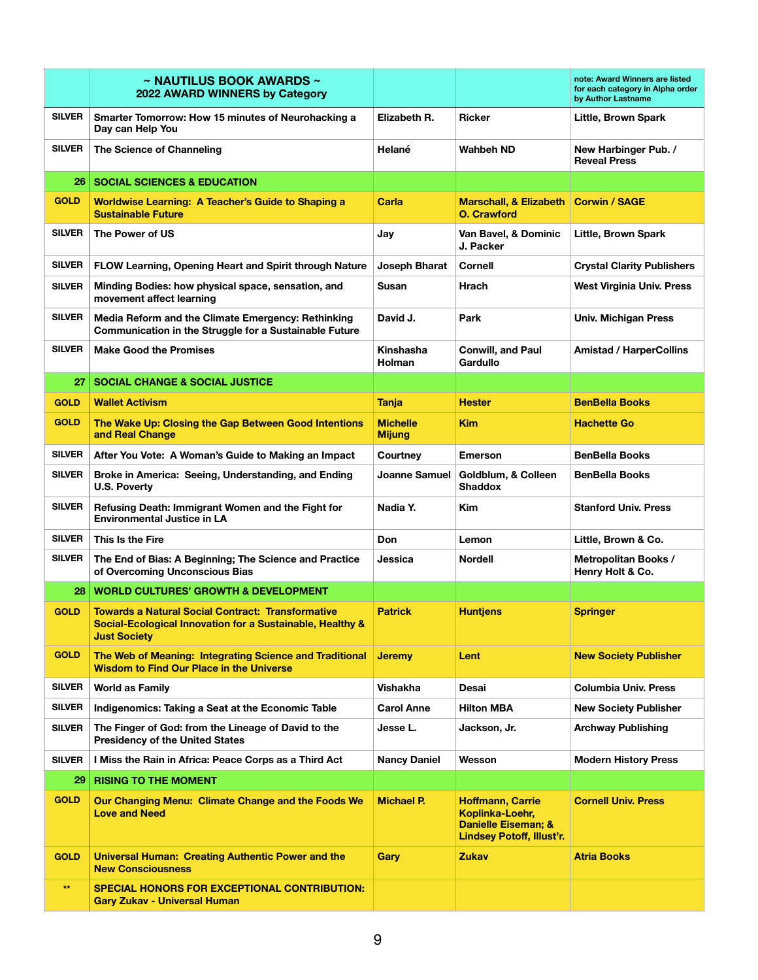|               | $\sim$ NAUTILUS BOOK AWARDS $\sim$<br>2022 AWARD WINNERS by Category                                                                         |                                  |                                                                                                | note: Award Winners are listed<br>for each category in Alpha order<br>by Author Lastname |
|---------------|----------------------------------------------------------------------------------------------------------------------------------------------|----------------------------------|------------------------------------------------------------------------------------------------|------------------------------------------------------------------------------------------|
| <b>SILVER</b> | Smarter Tomorrow: How 15 minutes of Neurohacking a<br>Day can Help You                                                                       | Elizabeth R.                     | <b>Ricker</b>                                                                                  | Little, Brown Spark                                                                      |
| <b>SILVER</b> | The Science of Channeling                                                                                                                    | Helané                           | Wahbeh ND                                                                                      | New Harbinger Pub. /<br><b>Reveal Press</b>                                              |
| 26            | <b>SOCIAL SCIENCES &amp; EDUCATION</b>                                                                                                       |                                  |                                                                                                |                                                                                          |
| <b>GOLD</b>   | <b>Worldwise Learning: A Teacher's Guide to Shaping a</b><br><b>Sustainable Future</b>                                                       | Carla                            | <b>Marschall, &amp; Elizabeth</b><br><b>O. Crawford</b>                                        | <b>Corwin / SAGE</b>                                                                     |
| <b>SILVER</b> | The Power of US                                                                                                                              | Jay                              | Van Bavel, & Dominic<br>J. Packer                                                              | Little, Brown Spark                                                                      |
| <b>SILVER</b> | <b>FLOW Learning, Opening Heart and Spirit through Nature</b>                                                                                | Joseph Bharat                    | Cornell                                                                                        | <b>Crystal Clarity Publishers</b>                                                        |
| <b>SILVER</b> | Minding Bodies: how physical space, sensation, and<br>movement affect learning                                                               | Susan                            | Hrach                                                                                          | <b>West Virginia Univ. Press</b>                                                         |
| <b>SILVER</b> | Media Reform and the Climate Emergency: Rethinking<br>Communication in the Struggle for a Sustainable Future                                 | David J.                         | Park                                                                                           | <b>Univ. Michigan Press</b>                                                              |
| <b>SILVER</b> | <b>Make Good the Promises</b>                                                                                                                | Kinshasha<br><b>Holman</b>       | <b>Conwill, and Paul</b><br>Gardullo                                                           | <b>Amistad / HarperCollins</b>                                                           |
| 27            | <b>SOCIAL CHANGE &amp; SOCIAL JUSTICE</b>                                                                                                    |                                  |                                                                                                |                                                                                          |
| <b>GOLD</b>   | <b>Wallet Activism</b>                                                                                                                       | Tanja                            | Hester                                                                                         | <b>BenBella Books</b>                                                                    |
| <b>GOLD</b>   | The Wake Up: Closing the Gap Between Good Intentions<br>and Real Change                                                                      | <b>Michelle</b><br><b>Mijung</b> | Kim                                                                                            | <b>Hachette Go</b>                                                                       |
| <b>SILVER</b> | After You Vote: A Woman's Guide to Making an Impact                                                                                          | Courtney                         | <b>Emerson</b>                                                                                 | <b>BenBella Books</b>                                                                    |
| <b>SILVER</b> | Broke in America: Seeing, Understanding, and Ending<br><b>U.S. Poverty</b>                                                                   | Joanne Samuel                    | Goldblum, & Colleen<br>Shaddox                                                                 | <b>BenBella Books</b>                                                                    |
| <b>SILVER</b> | Refusing Death: Immigrant Women and the Fight for<br><b>Environmental Justice in LA</b>                                                      | Nadia Y.                         | Kim                                                                                            | <b>Stanford Univ. Press</b>                                                              |
| <b>SILVER</b> | This Is the Fire                                                                                                                             | Don                              | Lemon                                                                                          | Little, Brown & Co.                                                                      |
| <b>SILVER</b> | The End of Bias: A Beginning; The Science and Practice<br>of Overcoming Unconscious Bias                                                     | Jessica                          | <b>Nordell</b>                                                                                 | <b>Metropolitan Books /</b><br>Henry Holt & Co.                                          |
| 28            | <b>WORLD CULTURES' GROWTH &amp; DEVELOPMENT</b>                                                                                              |                                  |                                                                                                |                                                                                          |
| <b>GOLD</b>   | <b>Towards a Natural Social Contract: Transformative</b><br>Social-Ecological Innovation for a Sustainable, Healthy &<br><b>Just Society</b> | <b>Patrick</b>                   | <b>Huntjens</b>                                                                                | Springer                                                                                 |
| <b>GOLD</b>   | The Web of Meaning: Integrating Science and Traditional<br><b>Wisdom to Find Our Place in the Universe</b>                                   | <b>Jeremy</b>                    | Lent                                                                                           | <b>New Society Publisher</b>                                                             |
| <b>SILVER</b> | <b>World as Family</b>                                                                                                                       | Vishakha                         | Desai                                                                                          | <b>Columbia Univ. Press</b>                                                              |
| <b>SILVER</b> | Indigenomics: Taking a Seat at the Economic Table                                                                                            | <b>Carol Anne</b>                | <b>Hilton MBA</b>                                                                              | <b>New Society Publisher</b>                                                             |
| <b>SILVER</b> | The Finger of God: from the Lineage of David to the<br><b>Presidency of the United States</b>                                                | Jesse L.                         | Jackson, Jr.                                                                                   | <b>Archway Publishing</b>                                                                |
| <b>SILVER</b> | I Miss the Rain in Africa: Peace Corps as a Third Act                                                                                        | <b>Nancy Daniel</b>              | Wesson                                                                                         | <b>Modern History Press</b>                                                              |
| 29            | <b>RISING TO THE MOMENT</b>                                                                                                                  |                                  |                                                                                                |                                                                                          |
| <b>GOLD</b>   | Our Changing Menu: Climate Change and the Foods We<br><b>Love and Need</b>                                                                   | <b>Michael P.</b>                | <b>Hoffmann, Carrie</b><br>Koplinka-Loehr,<br>Danielle Eiseman; &<br>Lindsey Potoff, Illust'r. | <b>Cornell Univ. Press</b>                                                               |
| <b>GOLD</b>   | <b>Universal Human: Creating Authentic Power and the</b><br><b>New Consciousness</b>                                                         | Gary                             | Zukav                                                                                          | <b>Atria Books</b>                                                                       |
| $**$          | <b>SPECIAL HONORS FOR EXCEPTIONAL CONTRIBUTION:</b><br><b>Gary Zukav - Universal Human</b>                                                   |                                  |                                                                                                |                                                                                          |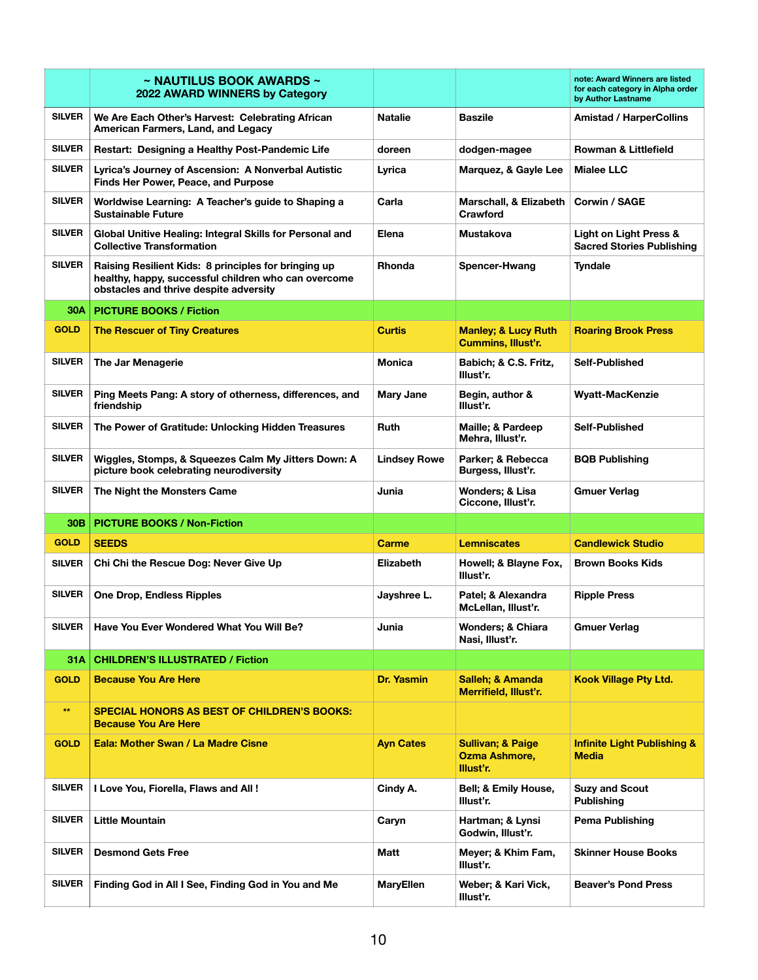|               | $\sim$ NAUTILUS BOOK AWARDS $\sim$<br>2022 AWARD WINNERS by Category                                                                                   |                     |                                                                   | note: Award Winners are listed<br>for each category in Alpha order<br>by Author Lastname |
|---------------|--------------------------------------------------------------------------------------------------------------------------------------------------------|---------------------|-------------------------------------------------------------------|------------------------------------------------------------------------------------------|
| <b>SILVER</b> | We Are Each Other's Harvest: Celebrating African<br>American Farmers, Land, and Legacy                                                                 | <b>Natalie</b>      | <b>Baszile</b>                                                    | <b>Amistad / HarperCollins</b>                                                           |
| <b>SILVER</b> | Restart: Designing a Healthy Post-Pandemic Life                                                                                                        | doreen              | dodgen-magee                                                      | <b>Rowman &amp; Littlefield</b>                                                          |
| <b>SILVER</b> | Lyrica's Journey of Ascension: A Nonverbal Autistic<br>Finds Her Power, Peace, and Purpose                                                             | Lyrica              | Marquez, & Gayle Lee                                              | <b>Mialee LLC</b>                                                                        |
| <b>SILVER</b> | Worldwise Learning: A Teacher's guide to Shaping a<br><b>Sustainable Future</b>                                                                        | Carla               | Marschall, & Elizabeth<br>Crawford                                | Corwin / SAGE                                                                            |
| <b>SILVER</b> | Global Unitive Healing: Integral Skills for Personal and<br><b>Collective Transformation</b>                                                           | Elena               | Mustakova                                                         | Light on Light Press &<br><b>Sacred Stories Publishing</b>                               |
| <b>SILVER</b> | Raising Resilient Kids: 8 principles for bringing up<br>healthy, happy, successful children who can overcome<br>obstacles and thrive despite adversity | <b>Rhonda</b>       | Spencer-Hwang                                                     | <b>Tyndale</b>                                                                           |
| 30A           | <b>PICTURE BOOKS / Fiction</b>                                                                                                                         |                     |                                                                   |                                                                                          |
| <b>GOLD</b>   | <b>The Rescuer of Tiny Creatures</b>                                                                                                                   | <b>Curtis</b>       | <b>Manley; &amp; Lucy Ruth</b><br><b>Cummins, Illust'r.</b>       | <b>Roaring Brook Press</b>                                                               |
| <b>SILVER</b> | The Jar Menagerie                                                                                                                                      | <b>Monica</b>       | Babich; & C.S. Fritz,<br>Illust'r.                                | Self-Published                                                                           |
| <b>SILVER</b> | Ping Meets Pang: A story of otherness, differences, and<br>friendship                                                                                  | <b>Mary Jane</b>    | Begin, author &<br>Illust'r.                                      | <b>Wyatt-MacKenzie</b>                                                                   |
| <b>SILVER</b> | The Power of Gratitude: Unlocking Hidden Treasures                                                                                                     | <b>Ruth</b>         | Maille; & Pardeep<br>Mehra, Illust'r.                             | Self-Published                                                                           |
| <b>SILVER</b> | Wiggles, Stomps, & Squeezes Calm My Jitters Down: A<br>picture book celebrating neurodiversity                                                         | <b>Lindsey Rowe</b> | Parker; & Rebecca<br>Burgess, Illust'r.                           | <b>BQB Publishing</b>                                                                    |
| <b>SILVER</b> | The Night the Monsters Came                                                                                                                            | Junia               | Wonders; & Lisa<br>Ciccone, Illust'r.                             | <b>Gmuer Verlag</b>                                                                      |
| 30B           | <b>PICTURE BOOKS / Non-Fiction</b>                                                                                                                     |                     |                                                                   |                                                                                          |
| <b>GOLD</b>   | <b>SEEDS</b>                                                                                                                                           | <b>Carme</b>        | <b>Lemniscates</b>                                                | <b>Candlewick Studio</b>                                                                 |
| <b>SILVER</b> | Chi Chi the Rescue Dog: Never Give Up                                                                                                                  | Elizabeth           | Howell; & Blayne Fox,<br>Illust'r.                                | <b>Brown Books Kids</b>                                                                  |
| <b>SILVER</b> | <b>One Drop, Endless Ripples</b>                                                                                                                       | Jayshree L.         | Patel; & Alexandra<br>McLellan, Illust'r.                         | <b>Ripple Press</b>                                                                      |
| <b>SILVER</b> | Have You Ever Wondered What You Will Be?                                                                                                               | Junia               | <b>Wonders: &amp; Chiara</b><br>Nasi, Illust'r.                   | <b>Gmuer Verlag</b>                                                                      |
| 31A           | <b>CHILDREN'S ILLUSTRATED / Fiction</b>                                                                                                                |                     |                                                                   |                                                                                          |
| <b>GOLD</b>   | <b>Because You Are Here</b>                                                                                                                            | <b>Dr. Yasmin</b>   | <b>Salleh; &amp; Amanda</b><br>Merrifield, Illust'r.              | <b>Kook Village Pty Ltd.</b>                                                             |
| $\star\star$  | <b>SPECIAL HONORS AS BEST OF CHILDREN'S BOOKS:</b><br><b>Because You Are Here</b>                                                                      |                     |                                                                   |                                                                                          |
| <b>GOLD</b>   | Eala: Mother Swan / La Madre Cisne                                                                                                                     | <b>Ayn Cates</b>    | <b>Sullivan; &amp; Paige</b><br><b>Ozma Ashmore,</b><br>Illust'r. | <b>Infinite Light Publishing &amp;</b><br><b>Media</b>                                   |
| <b>SILVER</b> | I Love You, Fiorella, Flaws and All!                                                                                                                   | Cindy A.            | Bell; & Emily House,<br>Illust'r.                                 | <b>Suzy and Scout</b><br><b>Publishing</b>                                               |
| <b>SILVER</b> | <b>Little Mountain</b>                                                                                                                                 | Caryn               | Hartman; & Lynsi<br>Godwin, Illust'r.                             | Pema Publishing                                                                          |
| <b>SILVER</b> | <b>Desmond Gets Free</b>                                                                                                                               | Matt                | Meyer; & Khim Fam,<br>Illust'r.                                   | <b>Skinner House Books</b>                                                               |
| <b>SILVER</b> | Finding God in All I See, Finding God in You and Me                                                                                                    | <b>MaryEllen</b>    | Weber; & Kari Vick,<br>Illust'r.                                  | <b>Beaver's Pond Press</b>                                                               |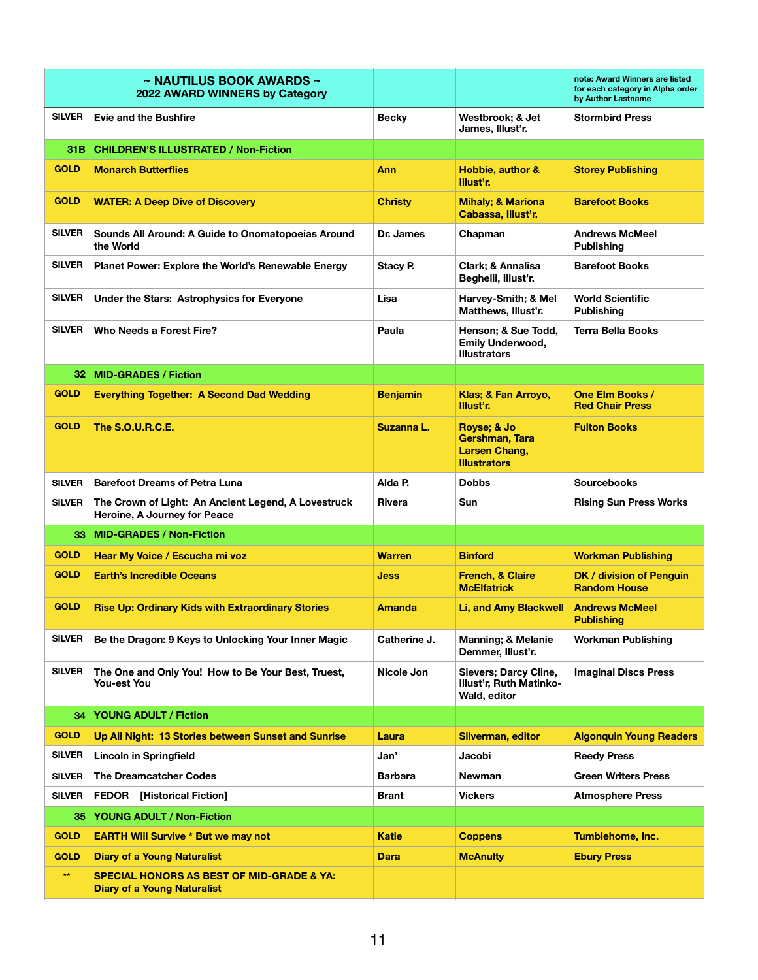|               | $\sim$ NAUTILUS BOOK AWARDS $\sim$<br>2022 AWARD WINNERS by Category                       |                 |                                                                         | note: Award Winners are listed<br>for each category in Alpha order<br>by Author Lastname |
|---------------|--------------------------------------------------------------------------------------------|-----------------|-------------------------------------------------------------------------|------------------------------------------------------------------------------------------|
| <b>SILVER</b> | <b>Evie and the Bushfire</b>                                                               | <b>Becky</b>    | Westbrook; & Jet<br>James, Illust'r.                                    | <b>Stormbird Press</b>                                                                   |
| 31B.          | <b>CHILDREN'S ILLUSTRATED / Non-Fiction</b>                                                |                 |                                                                         |                                                                                          |
| <b>GOLD</b>   | <b>Monarch Butterflies</b>                                                                 | Ann             | Hobbie, author &<br>Illust'r.                                           | <b>Storey Publishing</b>                                                                 |
| <b>GOLD</b>   | <b>WATER: A Deep Dive of Discovery</b>                                                     | <b>Christy</b>  | <b>Mihaly; &amp; Mariona</b><br>Cabassa, Illust'r.                      | <b>Barefoot Books</b>                                                                    |
| <b>SILVER</b> | Sounds All Around: A Guide to Onomatopoeias Around<br>the World                            | Dr. James       | Chapman                                                                 | <b>Andrews McMeel</b><br><b>Publishing</b>                                               |
| <b>SILVER</b> | Planet Power: Explore the World's Renewable Energy                                         | Stacy P.        | Clark; & Annalisa<br>Beghelli, Illust'r.                                | <b>Barefoot Books</b>                                                                    |
| <b>SILVER</b> | Under the Stars: Astrophysics for Everyone                                                 | Lisa            | Harvey-Smith; & Mel<br>Matthews, Illust'r.                              | <b>World Scientific</b><br><b>Publishing</b>                                             |
| <b>SILVER</b> | Who Needs a Forest Fire?                                                                   | Paula           | Henson; & Sue Todd,<br><b>Emily Underwood,</b><br><b>Illustrators</b>   | Terra Bella Books                                                                        |
| 32            | <b>MID-GRADES / Fiction</b>                                                                |                 |                                                                         |                                                                                          |
| <b>GOLD</b>   | <b>Everything Together: A Second Dad Wedding</b>                                           | <b>Benjamin</b> | Klas; & Fan Arroyo,<br>Illust'r.                                        | One Elm Books /<br><b>Red Chair Press</b>                                                |
| <b>GOLD</b>   | <b>The S.O.U.R.C.E.</b>                                                                    | Suzanna L.      | Royse; & Jo<br>Gershman, Tara<br>Larsen Chang,<br><b>Illustrators</b>   | <b>Fulton Books</b>                                                                      |
| <b>SILVER</b> | <b>Barefoot Dreams of Petra Luna</b>                                                       | Alda P.         | <b>Dobbs</b>                                                            | <b>Sourcebooks</b>                                                                       |
| <b>SILVER</b> | The Crown of Light: An Ancient Legend, A Lovestruck<br>Heroine, A Journey for Peace        | Rivera          | Sun                                                                     | <b>Rising Sun Press Works</b>                                                            |
| 33.           | <b>MID-GRADES / Non-Fiction</b>                                                            |                 |                                                                         |                                                                                          |
| <b>GOLD</b>   | Hear My Voice / Escucha mi voz                                                             | <b>Warren</b>   | <b>Binford</b>                                                          | <b>Workman Publishing</b>                                                                |
| <b>GOLD</b>   | <b>Earth's Incredible Oceans</b>                                                           | Jess            | <b>French, &amp; Claire</b><br><b>McElfatrick</b>                       | DK / division of Penguin<br><b>Random House</b>                                          |
| <b>GOLD</b>   | <b>Rise Up: Ordinary Kids with Extraordinary Stories</b>                                   | <b>Amanda</b>   | Li, and Amy Blackwell                                                   | <b>Andrews McMeel</b><br><b>Publishing</b>                                               |
| <b>SILVER</b> | Be the Dragon: 9 Keys to Unlocking Your Inner Magic                                        | Catherine J.    | <b>Manning; &amp; Melanie</b><br>Demmer, Illust'r.                      | Workman Publishing                                                                       |
| <b>SILVER</b> | The One and Only You! How to Be Your Best, Truest,<br>You-est You                          | Nicole Jon      | Sievers; Darcy Cline,<br><b>Illust'r, Ruth Matinko-</b><br>Wald, editor | <b>Imaginal Discs Press</b>                                                              |
| 34            | <b>YOUNG ADULT / Fiction</b>                                                               |                 |                                                                         |                                                                                          |
| <b>GOLD</b>   | Up All Night: 13 Stories between Sunset and Sunrise                                        | Laura           | Silverman, editor                                                       | <b>Algonquin Young Readers</b>                                                           |
| <b>SILVER</b> | <b>Lincoln in Springfield</b>                                                              | Jan'            | Jacobi                                                                  | <b>Reedy Press</b>                                                                       |
| <b>SILVER</b> | <b>The Dreamcatcher Codes</b>                                                              | <b>Barbara</b>  | Newman                                                                  | <b>Green Writers Press</b>                                                               |
| <b>SILVER</b> | <b>FEDOR</b> [Historical Fiction]                                                          | Brant           | <b>Vickers</b>                                                          | <b>Atmosphere Press</b>                                                                  |
| 35            | <b>YOUNG ADULT / Non-Fiction</b>                                                           |                 |                                                                         |                                                                                          |
| <b>GOLD</b>   | <b>EARTH Will Survive * But we may not</b>                                                 | <b>Katie</b>    | <b>Coppens</b>                                                          | Tumblehome, Inc.                                                                         |
| <b>GOLD</b>   | <b>Diary of a Young Naturalist</b>                                                         | Dara            | <b>McAnulty</b>                                                         | <b>Ebury Press</b>                                                                       |
| $\star\star$  | <b>SPECIAL HONORS AS BEST OF MID-GRADE &amp; YA:</b><br><b>Diary of a Young Naturalist</b> |                 |                                                                         |                                                                                          |